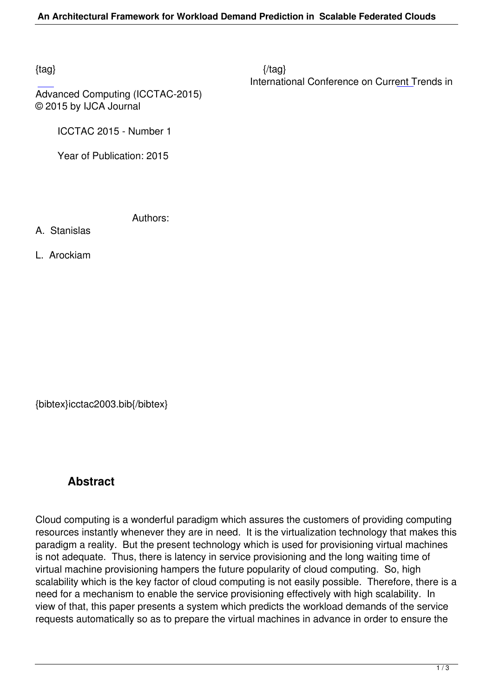$\{tag\}$ International Conference on Current Trends in

Advanced Computing (ICCTAC-2015) © 2015 by IJCA Journal

ICCTAC 2015 - Number 1

Year of Publication: 2015

Authors:

- A. Stanislas
- L. Arockiam

{bibtex}icctac2003.bib{/bibtex}

## **Abstract**

Cloud computing is a wonderful paradigm which assures the customers of providing computing resources instantly whenever they are in need. It is the virtualization technology that makes this paradigm a reality. But the present technology which is used for provisioning virtual machines is not adequate. Thus, there is latency in service provisioning and the long waiting time of virtual machine provisioning hampers the future popularity of cloud computing. So, high scalability which is the key factor of cloud computing is not easily possible. Therefore, there is a need for a mechanism to enable the service provisioning effectively with high scalability. In view of that, this paper presents a system which predicts the workload demands of the service requests automatically so as to prepare the virtual machines in advance in order to ensure the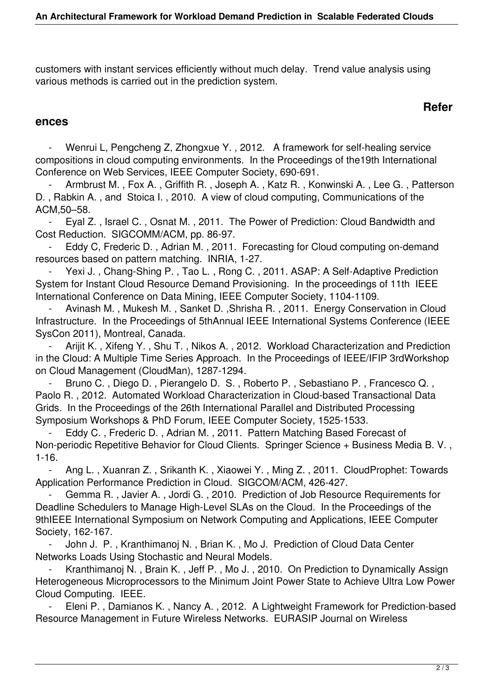customers with instant services efficiently without much delay. Trend value analysis using various methods is carried out in the prediction system.

## **Refer**

## **ences**

Wenrui L, Pengcheng Z, Zhongxue Y., 2012. A framework for self-healing service compositions in cloud computing environments. In the Proceedings of the19th International Conference on Web Services, IEEE Computer Society, 690-691.

Armbrust M., Fox A., Griffith R., Joseph A., Katz R., Konwinski A., Lee G., Patterson D. , Rabkin A. , and Stoica I. , 2010. A view of cloud computing, Communications of the ACM,50–58.

Eyal Z., Israel C., Osnat M., 2011. The Power of Prediction: Cloud Bandwidth and Cost Reduction. SIGCOMM/ACM, pp. 86-97.

Eddy C, Frederic D., Adrian M., 2011. Forecasting for Cloud computing on-demand resources based on pattern matching. INRIA, 1-27.

Yexi J., Chang-Shing P., Tao L., Rong C., 2011. ASAP: A Self-Adaptive Prediction System for Instant Cloud Resource Demand Provisioning. In the proceedings of 11th IEEE International Conference on Data Mining, IEEE Computer Society, 1104-1109.

Avinash M., Mukesh M., Sanket D., Shrisha R., 2011. Energy Conservation in Cloud Infrastructure. In the Proceedings of 5thAnnual IEEE International Systems Conference (IEEE SysCon 2011), Montreal, Canada.

Arijit K., Xifeng Y., Shu T., Nikos A., 2012. Workload Characterization and Prediction in the Cloud: A Multiple Time Series Approach. In the Proceedings of IEEE/IFIP 3rdWorkshop on Cloud Management (CloudMan), 1287-1294.

Bruno C., Diego D., Pierangelo D. S., Roberto P., Sebastiano P., Francesco Q., Paolo R. , 2012. Automated Workload Characterization in Cloud-based Transactional Data Grids. In the Proceedings of the 26th International Parallel and Distributed Processing Symposium Workshops & PhD Forum, IEEE Computer Society, 1525-1533.

 - Eddy C. , Frederic D. , Adrian M. , 2011. Pattern Matching Based Forecast of Non-periodic Repetitive Behavior for Cloud Clients. Springer Science + Business Media B. V. , 1-16.

Ang L., Xuanran Z., Srikanth K., Xiaowei Y., Ming Z., 2011. CloudProphet: Towards Application Performance Prediction in Cloud. SIGCOM/ACM, 426-427.

 - Gemma R. , Javier A. , Jordi G. , 2010. Prediction of Job Resource Requirements for Deadline Schedulers to Manage High-Level SLAs on the Cloud. In the Proceedings of the 9thIEEE International Symposium on Network Computing and Applications, IEEE Computer Society, 162-167.

John J. P., Kranthimanoj N., Brian K., Mo J. Prediction of Cloud Data Center Networks Loads Using Stochastic and Neural Models.

Kranthimanoj N., Brain K., Jeff P., Mo J., 2010. On Prediction to Dynamically Assign Heterogeneous Microprocessors to the Minimum Joint Power State to Achieve Ultra Low Power Cloud Computing. IEEE.

Eleni P., Damianos K., Nancy A., 2012. A Lightweight Framework for Prediction-based Resource Management in Future Wireless Networks. EURASIP Journal on Wireless